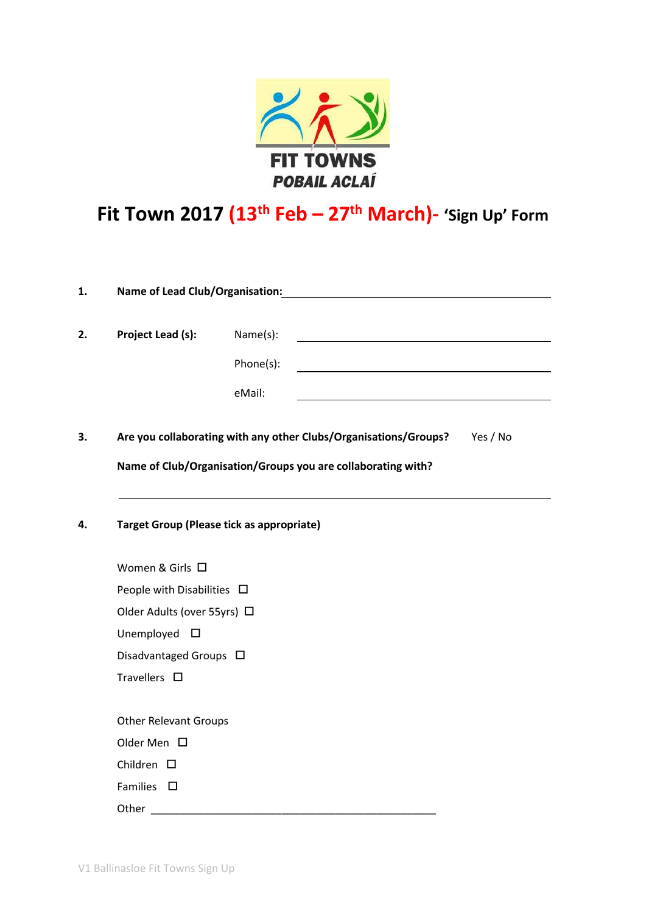

## **Fit Town 2017 (13th Feb – 27th March)- 'Sign Up' Form**

| 1. | Name of Lead Club/Organisation: Name of Lead Club/Organisation:                                                                           |           |  |
|----|-------------------------------------------------------------------------------------------------------------------------------------------|-----------|--|
|    |                                                                                                                                           |           |  |
| 2. | <b>Project Lead (s):</b>                                                                                                                  | Name(s):  |  |
|    |                                                                                                                                           | Phone(s): |  |
|    |                                                                                                                                           | eMail:    |  |
| 3. | Are you collaborating with any other Clubs/Organisations/Groups? Yes / No<br>Name of Club/Organisation/Groups you are collaborating with? |           |  |
| 4. | <b>Target Group (Please tick as appropriate)</b>                                                                                          |           |  |
|    | Women & Girls □                                                                                                                           |           |  |
|    | People with Disabilities $\Box$<br>Older Adults (over 55yrs) □<br>Unemployed<br>$\Box$<br>Disadvantaged Groups □                          |           |  |
|    |                                                                                                                                           |           |  |
|    |                                                                                                                                           |           |  |
|    |                                                                                                                                           |           |  |
|    | Travellers $\square$                                                                                                                      |           |  |
|    | <b>Other Relevant Groups</b>                                                                                                              |           |  |
|    | Older Men $\square$                                                                                                                       |           |  |
|    | Children $\square$                                                                                                                        |           |  |
|    | Families $\Box$                                                                                                                           |           |  |
|    |                                                                                                                                           |           |  |